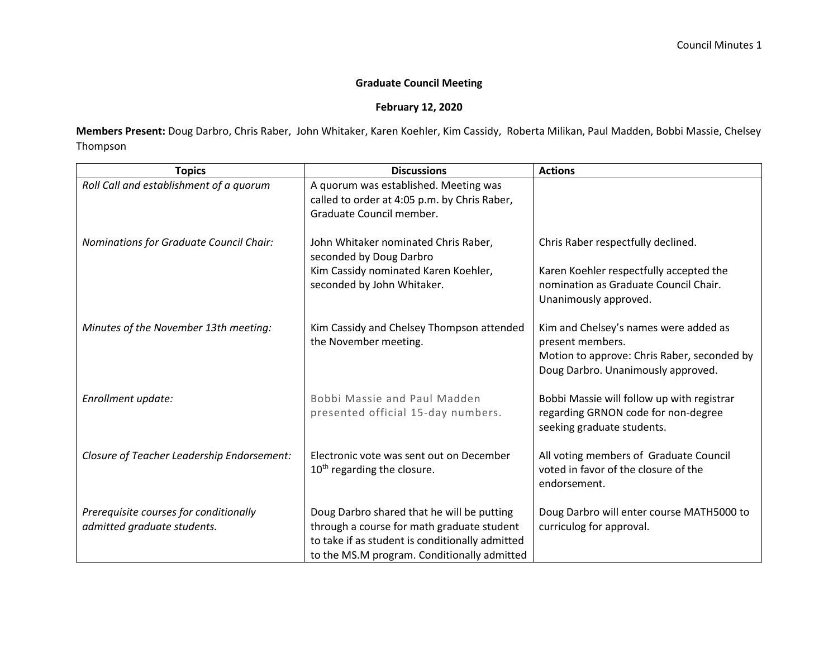## **Graduate Council Meeting**

## **February 12, 2020**

**Members Present:** Doug Darbro, Chris Raber, John Whitaker, Karen Koehler, Kim Cassidy, Roberta Milikan, Paul Madden, Bobbi Massie, Chelsey Thompson

| <b>Topics</b>                                                         | <b>Discussions</b>                                                                                                                                                                         | <b>Actions</b>                                                                                                                                 |
|-----------------------------------------------------------------------|--------------------------------------------------------------------------------------------------------------------------------------------------------------------------------------------|------------------------------------------------------------------------------------------------------------------------------------------------|
| Roll Call and establishment of a quorum                               | A quorum was established. Meeting was<br>called to order at 4:05 p.m. by Chris Raber,<br>Graduate Council member.                                                                          |                                                                                                                                                |
| Nominations for Graduate Council Chair:                               | John Whitaker nominated Chris Raber,<br>seconded by Doug Darbro                                                                                                                            | Chris Raber respectfully declined.                                                                                                             |
|                                                                       | Kim Cassidy nominated Karen Koehler,<br>seconded by John Whitaker.                                                                                                                         | Karen Koehler respectfully accepted the<br>nomination as Graduate Council Chair.<br>Unanimously approved.                                      |
| Minutes of the November 13th meeting:                                 | Kim Cassidy and Chelsey Thompson attended<br>the November meeting.                                                                                                                         | Kim and Chelsey's names were added as<br>present members.<br>Motion to approve: Chris Raber, seconded by<br>Doug Darbro. Unanimously approved. |
| Enrollment update:                                                    | Bobbi Massie and Paul Madden<br>presented official 15-day numbers.                                                                                                                         | Bobbi Massie will follow up with registrar<br>regarding GRNON code for non-degree<br>seeking graduate students.                                |
| Closure of Teacher Leadership Endorsement:                            | Electronic vote was sent out on December<br>10 <sup>th</sup> regarding the closure.                                                                                                        | All voting members of Graduate Council<br>voted in favor of the closure of the<br>endorsement.                                                 |
| Prerequisite courses for conditionally<br>admitted graduate students. | Doug Darbro shared that he will be putting<br>through a course for math graduate student<br>to take if as student is conditionally admitted<br>to the MS.M program. Conditionally admitted | Doug Darbro will enter course MATH5000 to<br>curriculog for approval.                                                                          |